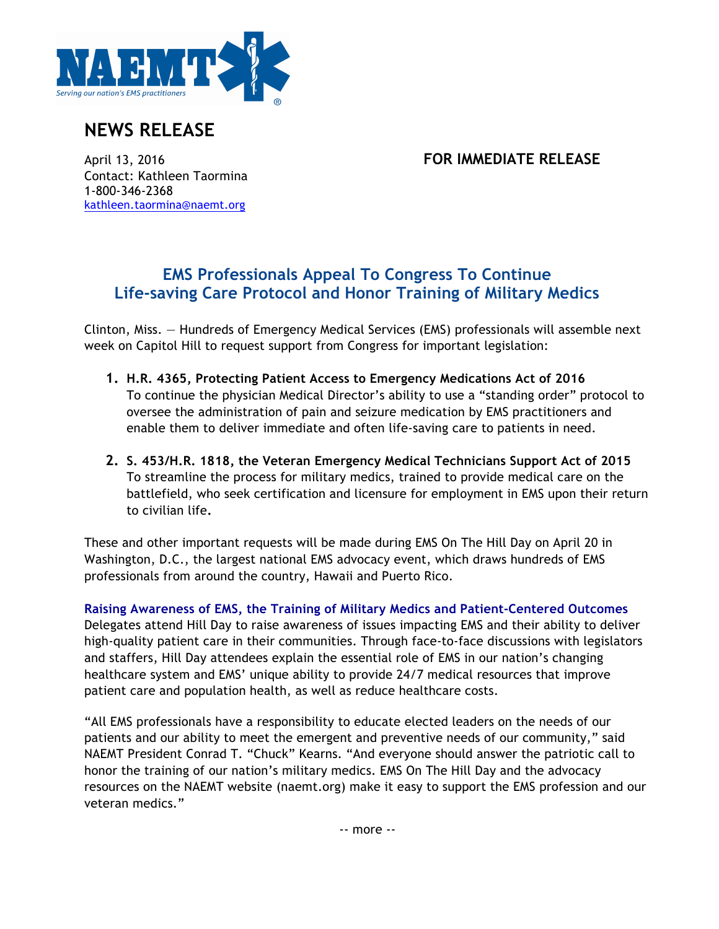

## **NEWS RELEASE**

## April 13, 2016 **FOR IMMEDIATE RELEASE**

Contact: Kathleen Taormina 1-800-346-2368 kathleen.taormina@naemt.org

## **EMS Professionals Appeal To Congress To Continue Life-saving Care Protocol and Honor Training of Military Medics**

Clinton, Miss. — Hundreds of Emergency Medical Services (EMS) professionals will assemble next week on Capitol Hill to request support from Congress for important legislation:

- **1. H.R. 4365, Protecting Patient Access to Emergency Medications Act of 2016** To continue the physician Medical Director's ability to use a "standing order" protocol to oversee the administration of pain and seizure medication by EMS practitioners and enable them to deliver immediate and often life-saving care to patients in need.
- **2. S. 453/H.R. 1818, the Veteran Emergency Medical Technicians Support Act of 2015** To streamline the process for military medics, trained to provide medical care on the battlefield, who seek certification and licensure for employment in EMS upon their return to civilian life**.**

These and other important requests will be made during EMS On The Hill Day on April 20 in Washington, D.C., the largest national EMS advocacy event, which draws hundreds of EMS professionals from around the country, Hawaii and Puerto Rico.

**Raising Awareness of EMS, the Training of Military Medics and Patient-Centered Outcomes**  Delegates attend Hill Day to raise awareness of issues impacting EMS and their ability to deliver high-quality patient care in their communities. Through face-to-face discussions with legislators and staffers, Hill Day attendees explain the essential role of EMS in our nation's changing healthcare system and EMS' unique ability to provide 24/7 medical resources that improve patient care and population health, as well as reduce healthcare costs.

"All EMS professionals have a responsibility to educate elected leaders on the needs of our patients and our ability to meet the emergent and preventive needs of our community," said NAEMT President Conrad T. "Chuck" Kearns. "And everyone should answer the patriotic call to honor the training of our nation's military medics. EMS On The Hill Day and the advocacy resources on the NAEMT website (naemt.org) make it easy to support the EMS profession and our veteran medics."